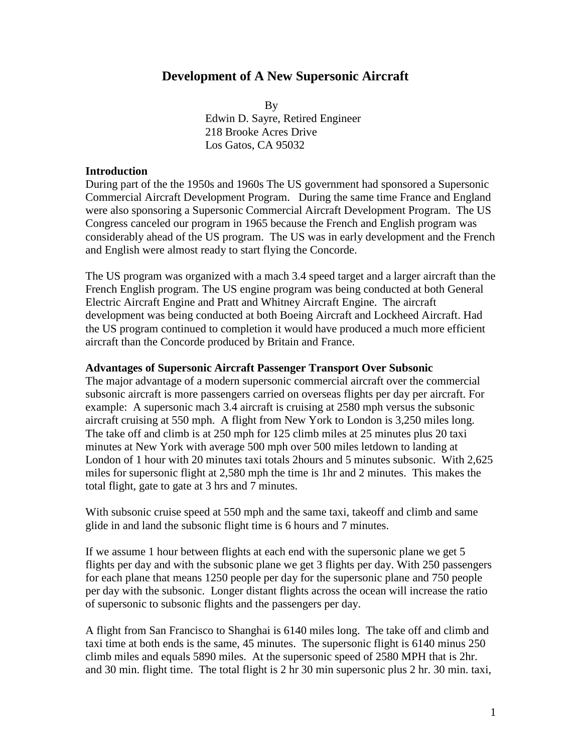# **Development of A New Supersonic Aircraft**

**By**  Edwin D. Sayre, Retired Engineer 218 Brooke Acres Drive Los Gatos, CA 95032

### **Introduction**

During part of the the 1950s and 1960s The US government had sponsored a Supersonic Commercial Aircraft Development Program. During the same time France and England were also sponsoring a Supersonic Commercial Aircraft Development Program. The US Congress canceled our program in 1965 because the French and English program was considerably ahead of the US program. The US was in early development and the French and English were almost ready to start flying the Concorde.

The US program was organized with a mach 3.4 speed target and a larger aircraft than the French English program. The US engine program was being conducted at both General Electric Aircraft Engine and Pratt and Whitney Aircraft Engine. The aircraft development was being conducted at both Boeing Aircraft and Lockheed Aircraft. Had the US program continued to completion it would have produced a much more efficient aircraft than the Concorde produced by Britain and France.

#### **Advantages of Supersonic Aircraft Passenger Transport Over Subsonic**

The major advantage of a modern supersonic commercial aircraft over the commercial subsonic aircraft is more passengers carried on overseas flights per day per aircraft. For example: A supersonic mach 3.4 aircraft is cruising at 2580 mph versus the subsonic aircraft cruising at 550 mph. A flight from New York to London is 3,250 miles long. The take off and climb is at 250 mph for 125 climb miles at 25 minutes plus 20 taxi minutes at New York with average 500 mph over 500 miles letdown to landing at London of 1 hour with 20 minutes taxi totals 2hours and 5 minutes subsonic. With 2,625 miles for supersonic flight at 2,580 mph the time is 1hr and 2 minutes. This makes the total flight, gate to gate at 3 hrs and 7 minutes.

With subsonic cruise speed at 550 mph and the same taxi, takeoff and climb and same glide in and land the subsonic flight time is 6 hours and 7 minutes.

If we assume 1 hour between flights at each end with the supersonic plane we get 5 flights per day and with the subsonic plane we get 3 flights per day. With 250 passengers for each plane that means 1250 people per day for the supersonic plane and 750 people per day with the subsonic. Longer distant flights across the ocean will increase the ratio of supersonic to subsonic flights and the passengers per day.

A flight from San Francisco to Shanghai is 6140 miles long. The take off and climb and taxi time at both ends is the same, 45 minutes. The supersonic flight is 6140 minus 250 climb miles and equals 5890 miles. At the supersonic speed of 2580 MPH that is 2hr. and 30 min. flight time. The total flight is 2 hr 30 min supersonic plus 2 hr. 30 min. taxi,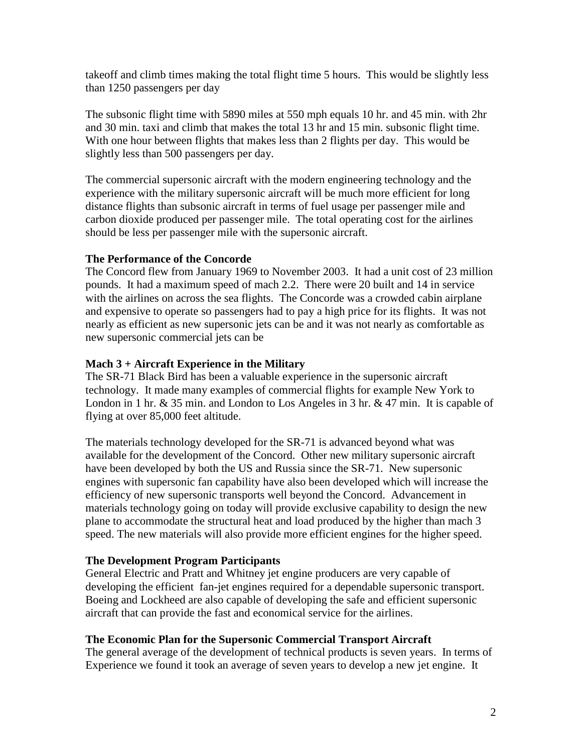takeoff and climb times making the total flight time 5 hours. This would be slightly less than 1250 passengers per day

The subsonic flight time with 5890 miles at 550 mph equals 10 hr. and 45 min. with 2hr and 30 min. taxi and climb that makes the total 13 hr and 15 min. subsonic flight time. With one hour between flights that makes less than 2 flights per day. This would be slightly less than 500 passengers per day.

The commercial supersonic aircraft with the modern engineering technology and the experience with the military supersonic aircraft will be much more efficient for long distance flights than subsonic aircraft in terms of fuel usage per passenger mile and carbon dioxide produced per passenger mile. The total operating cost for the airlines should be less per passenger mile with the supersonic aircraft.

## **The Performance of the Concorde**

The Concord flew from January 1969 to November 2003. It had a unit cost of 23 million pounds. It had a maximum speed of mach 2.2. There were 20 built and 14 in service with the airlines on across the sea flights. The Concorde was a crowded cabin airplane and expensive to operate so passengers had to pay a high price for its flights. It was not nearly as efficient as new supersonic jets can be and it was not nearly as comfortable as new supersonic commercial jets can be

# **Mach 3 + Aircraft Experience in the Military**

The SR-71 Black Bird has been a valuable experience in the supersonic aircraft technology. It made many examples of commercial flights for example New York to London in 1 hr. & 35 min. and London to Los Angeles in 3 hr. & 47 min. It is capable of flying at over 85,000 feet altitude.

The materials technology developed for the SR-71 is advanced beyond what was available for the development of the Concord. Other new military supersonic aircraft have been developed by both the US and Russia since the SR-71. New supersonic engines with supersonic fan capability have also been developed which will increase the efficiency of new supersonic transports well beyond the Concord. Advancement in materials technology going on today will provide exclusive capability to design the new plane to accommodate the structural heat and load produced by the higher than mach 3 speed. The new materials will also provide more efficient engines for the higher speed.

# **The Development Program Participants**

General Electric and Pratt and Whitney jet engine producers are very capable of developing the efficient fan-jet engines required for a dependable supersonic transport. Boeing and Lockheed are also capable of developing the safe and efficient supersonic aircraft that can provide the fast and economical service for the airlines.

# **The Economic Plan for the Supersonic Commercial Transport Aircraft**

The general average of the development of technical products is seven years. In terms of Experience we found it took an average of seven years to develop a new jet engine. It